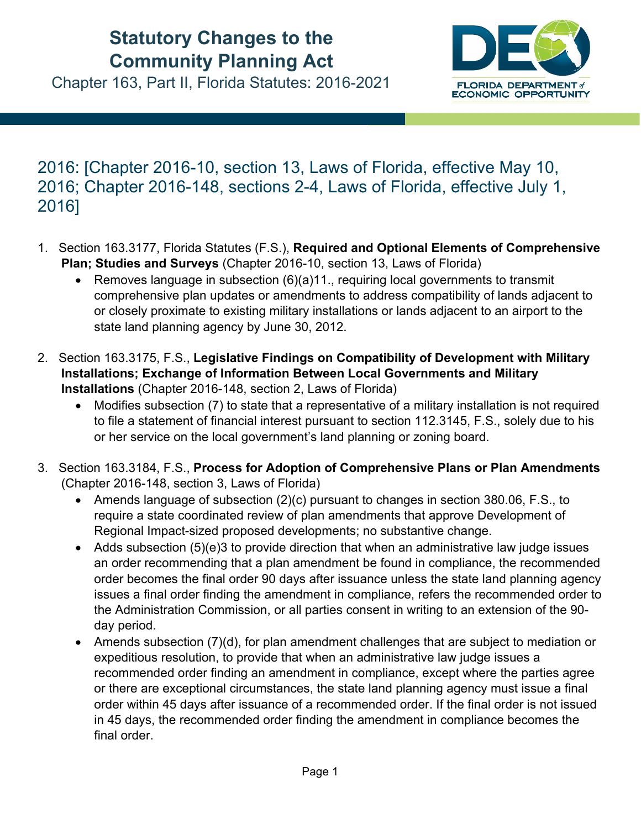## **Statutory Changes to the Community Planning Act**

Chapter 163, Part II, Florida Statutes: 2016-2021



## 2016: [Chapter 2016-10, section 13, Laws of Florida, effective May 10, 2016; Chapter 2016-148, sections 2-4, Laws of Florida, effective July 1, 2016]

- 1. Section 163.3177, Florida Statutes (F.S.), **Required and Optional Elements of Comprehensive Plan; Studies and Surveys** (Chapter 2016-10, section 13, Laws of Florida)
	- **•** Removes language in subsection  $(6)(a)11$ ., requiring local governments to transmit comprehensive plan updates or amendments to address compatibility of lands adjacent to or closely proximate to existing military installations or lands adjacent to an airport to the state land planning agency by June 30, 2012.
- 2. Section 163.3175, F.S., **Legislative Findings on Compatibility of Development with Military Installations; Exchange of Information Between Local Governments and Military Installations** (Chapter 2016-148, section 2, Laws of Florida)
	- Modifies subsection (7) to state that a representative of a military installation is not required to file a statement of financial interest pursuant to section 112.3145, F.S., solely due to his or her service on the local government's land planning or zoning board.
- 3. Section 163.3184, F.S., **Process for Adoption of Comprehensive Plans or Plan Amendments** (Chapter 2016-148, section 3, Laws of Florida)
	- Amends language of subsection (2)(c) pursuant to changes in section 380.06, F.S., to require a state coordinated review of plan amendments that approve Development of Regional Impact-sized proposed developments; no substantive change.
	- Adds subsection (5)(e)3 to provide direction that when an administrative law judge issues an order recommending that a plan amendment be found in compliance, the recommended order becomes the final order 90 days after issuance unless the state land planning agency issues a final order finding the amendment in compliance, refers the recommended order to the Administration Commission, or all parties consent in writing to an extension of the 90 day period.
	- Amends subsection (7)(d), for plan amendment challenges that are subject to mediation or expeditious resolution, to provide that when an administrative law judge issues a recommended order finding an amendment in compliance, except where the parties agree or there are exceptional circumstances, the state land planning agency must issue a final order within 45 days after issuance of a recommended order. If the final order is not issued in 45 days, the recommended order finding the amendment in compliance becomes the final order.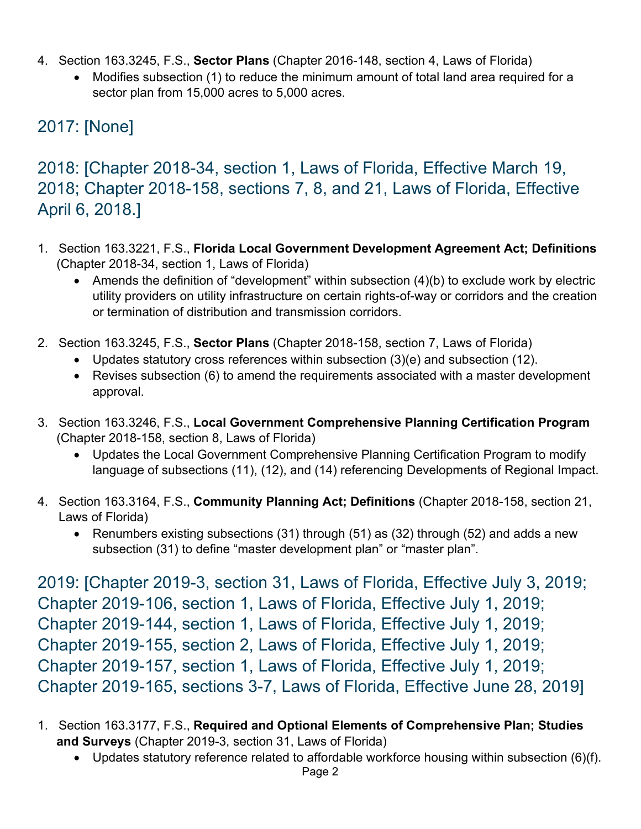- 4. Section 163.3245, F.S., **Sector Plans** (Chapter 2016-148, section 4, Laws of Florida)
	- Modifies subsection (1) to reduce the minimum amount of total land area required for a sector plan from 15,000 acres to 5,000 acres.

## 2017: [None]

2018: [Chapter 2018-34, section 1, Laws of Florida, Effective March 19, 2018; Chapter 2018-158, sections 7, 8, and 21, Laws of Florida, Effective April 6, 2018.]

- 1. Section 163.3221, F.S., **Florida Local Government Development Agreement Act; Definitions** (Chapter 2018-34, section 1, Laws of Florida)
	- Amends the definition of "development" within subsection (4)(b) to exclude work by electric utility providers on utility infrastructure on certain rights-of-way or corridors and the creation or termination of distribution and transmission corridors.
- 2. Section 163.3245, F.S., **Sector Plans** (Chapter 2018-158, section 7, Laws of Florida)
	- Updates statutory cross references within subsection (3)(e) and subsection (12).
	- Revises subsection (6) to amend the requirements associated with a master development approval.
- 3. Section 163.3246, F.S., **Local Government Comprehensive Planning Certification Program** (Chapter 2018-158, section 8, Laws of Florida)
	- Updates the Local Government Comprehensive Planning Certification Program to modify language of subsections (11), (12), and (14) referencing Developments of Regional Impact.
- 4. Section 163.3164, F.S., **Community Planning Act; Definitions** (Chapter 2018-158, section 21, Laws of Florida)
	- Renumbers existing subsections (31) through (51) as (32) through (52) and adds a new subsection (31) to define "master development plan" or "master plan".

2019: [Chapter 2019-3, section 31, Laws of Florida, Effective July 3, 2019; Chapter 2019-106, section 1, Laws of Florida, Effective July 1, 2019; Chapter 2019-144, section 1, Laws of Florida, Effective July 1, 2019; Chapter 2019-155, section 2, Laws of Florida, Effective July 1, 2019; Chapter 2019-157, section 1, Laws of Florida, Effective July 1, 2019; Chapter 2019-165, sections 3-7, Laws of Florida, Effective June 28, 2019]

- 1. Section 163.3177, F.S., **Required and Optional Elements of Comprehensive Plan; Studies and Surveys** (Chapter 2019-3, section 31, Laws of Florida)
	- Updates statutory reference related to affordable workforce housing within subsection (6)(f).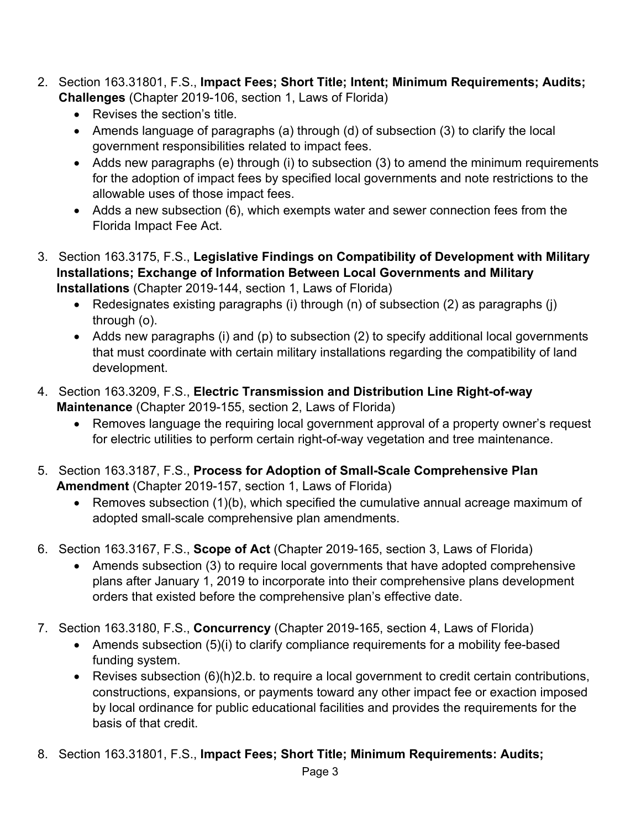- 2. Section 163.31801, F.S., **Impact Fees; Short Title; Intent; Minimum Requirements; Audits; Challenges** (Chapter 2019-106, section 1, Laws of Florida)
	- Revises the section's title.
	- Amends language of paragraphs (a) through (d) of subsection (3) to clarify the local government responsibilities related to impact fees.
	- Adds new paragraphs (e) through (i) to subsection (3) to amend the minimum requirements for the adoption of impact fees by specified local governments and note restrictions to the allowable uses of those impact fees.
	- Adds a new subsection (6), which exempts water and sewer connection fees from the Florida Impact Fee Act.
- 3. Section 163.3175, F.S., **Legislative Findings on Compatibility of Development with Military Installations; Exchange of Information Between Local Governments and Military Installations** (Chapter 2019-144, section 1, Laws of Florida)
	- Redesignates existing paragraphs (i) through (n) of subsection (2) as paragraphs (j) through (o).
	- Adds new paragraphs (i) and (p) to subsection (2) to specify additional local governments that must coordinate with certain military installations regarding the compatibility of land development.
- 4. Section 163.3209, F.S., **Electric Transmission and Distribution Line Right-of-way Maintenance** (Chapter 2019-155, section 2, Laws of Florida)
	- Removes language the requiring local government approval of a property owner's request for electric utilities to perform certain right-of-way vegetation and tree maintenance.
- 5. Section 163.3187, F.S., **Process for Adoption of Small-Scale Comprehensive Plan Amendment** (Chapter 2019-157, section 1, Laws of Florida)
	- Removes subsection (1)(b), which specified the cumulative annual acreage maximum of adopted small-scale comprehensive plan amendments.
- 6. Section 163.3167, F.S., **Scope of Act** (Chapter 2019-165, section 3, Laws of Florida)
	- Amends subsection (3) to require local governments that have adopted comprehensive plans after January 1, 2019 to incorporate into their comprehensive plans development orders that existed before the comprehensive plan's effective date.
- 7. Section 163.3180, F.S., **Concurrency** (Chapter 2019-165, section 4, Laws of Florida)
	- Amends subsection (5)(i) to clarify compliance requirements for a mobility fee-based funding system.
	- Revises subsection (6)(h)2.b. to require a local government to credit certain contributions, constructions, expansions, or payments toward any other impact fee or exaction imposed by local ordinance for public educational facilities and provides the requirements for the basis of that credit.
- 8. Section 163.31801, F.S., **Impact Fees; Short Title; Minimum Requirements: Audits;**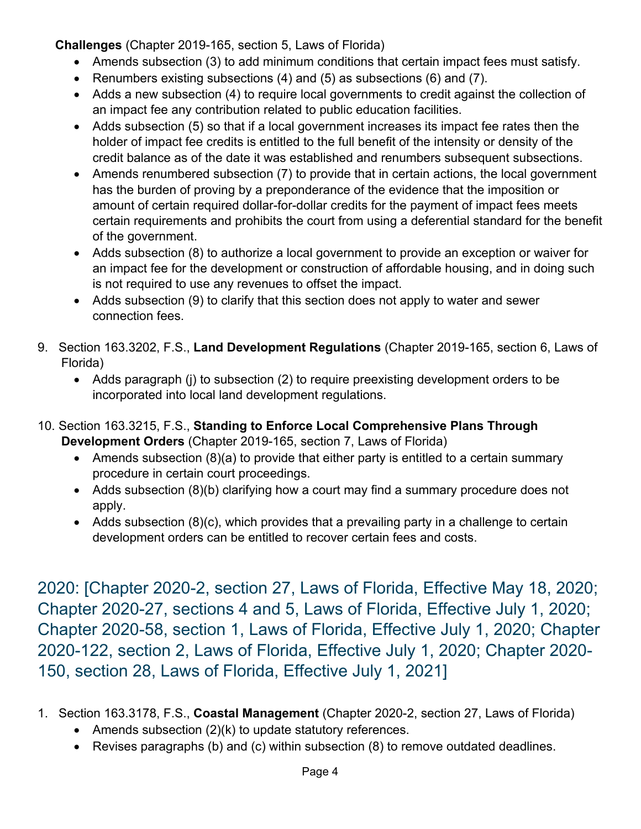**Challenges** (Chapter 2019-165, section 5, Laws of Florida)

- Amends subsection (3) to add minimum conditions that certain impact fees must satisfy.
- Renumbers existing subsections  $(4)$  and  $(5)$  as subsections  $(6)$  and  $(7)$ .
- Adds a new subsection (4) to require local governments to credit against the collection of an impact fee any contribution related to public education facilities.
- Adds subsection (5) so that if a local government increases its impact fee rates then the holder of impact fee credits is entitled to the full benefit of the intensity or density of the credit balance as of the date it was established and renumbers subsequent subsections.
- Amends renumbered subsection (7) to provide that in certain actions, the local government has the burden of proving by a preponderance of the evidence that the imposition or amount of certain required dollar-for-dollar credits for the payment of impact fees meets certain requirements and prohibits the court from using a deferential standard for the benefit of the government.
- Adds subsection (8) to authorize a local government to provide an exception or waiver for an impact fee for the development or construction of affordable housing, and in doing such is not required to use any revenues to offset the impact.
- Adds subsection (9) to clarify that this section does not apply to water and sewer connection fees.
- 9. Section 163.3202, F.S., **Land Development Regulations** (Chapter 2019-165, section 6, Laws of Florida)
	- Adds paragraph (j) to subsection (2) to require preexisting development orders to be incorporated into local land development regulations.
- 10. Section 163.3215, F.S., **Standing to Enforce Local Comprehensive Plans Through Development Orders** (Chapter 2019-165, section 7, Laws of Florida)
	- Amends subsection (8)(a) to provide that either party is entitled to a certain summary procedure in certain court proceedings.
	- Adds subsection (8)(b) clarifying how a court may find a summary procedure does not apply.
	- Adds subsection  $(8)(c)$ , which provides that a prevailing party in a challenge to certain development orders can be entitled to recover certain fees and costs.

2020: [Chapter 2020-2, section 27, Laws of Florida, Effective May 18, 2020; Chapter 2020-27, sections 4 and 5, Laws of Florida, Effective July 1, 2020; Chapter 2020-58, section 1, Laws of Florida, Effective July 1, 2020; Chapter 2020-122, section 2, Laws of Florida, Effective July 1, 2020; Chapter 2020- 150, section 28, Laws of Florida, Effective July 1, 2021]

- 1. Section 163.3178, F.S., **Coastal Management** (Chapter 2020-2, section 27, Laws of Florida)
	- Amends subsection  $(2)(k)$  to update statutory references.
	- Revises paragraphs (b) and (c) within subsection (8) to remove outdated deadlines.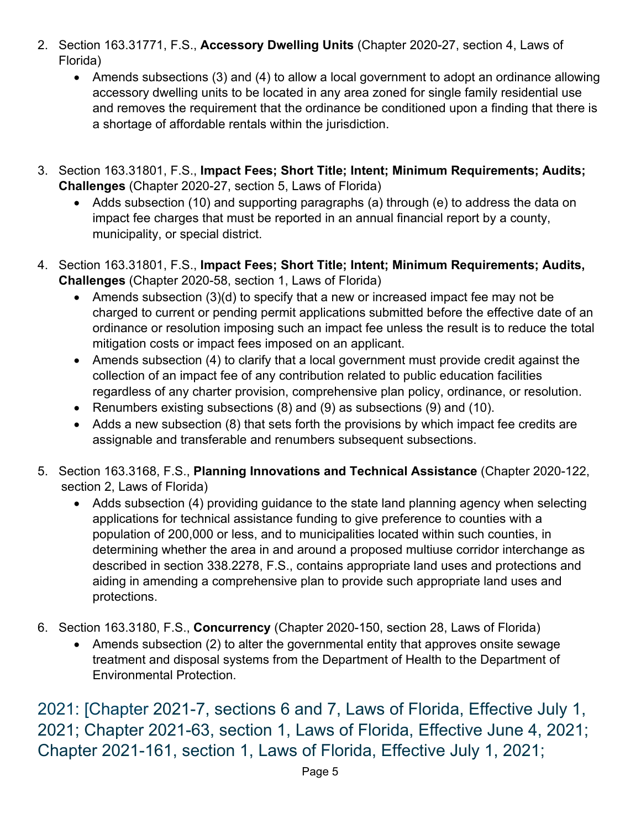- 2. Section 163.31771, F.S., **Accessory Dwelling Units** (Chapter 2020-27, section 4, Laws of Florida)
	- Amends subsections (3) and (4) to allow a local government to adopt an ordinance allowing accessory dwelling units to be located in any area zoned for single family residential use and removes the requirement that the ordinance be conditioned upon a finding that there is a shortage of affordable rentals within the jurisdiction.
- 3. Section 163.31801, F.S., **Impact Fees; Short Title; Intent; Minimum Requirements; Audits; Challenges** (Chapter 2020-27, section 5, Laws of Florida)
	- Adds subsection (10) and supporting paragraphs (a) through (e) to address the data on impact fee charges that must be reported in an annual financial report by a county, municipality, or special district.
- 4. Section 163.31801, F.S., **Impact Fees; Short Title; Intent; Minimum Requirements; Audits, Challenges** (Chapter 2020-58, section 1, Laws of Florida)
	- Amends subsection (3)(d) to specify that a new or increased impact fee may not be charged to current or pending permit applications submitted before the effective date of an ordinance or resolution imposing such an impact fee unless the result is to reduce the total mitigation costs or impact fees imposed on an applicant.
	- Amends subsection (4) to clarify that a local government must provide credit against the collection of an impact fee of any contribution related to public education facilities regardless of any charter provision, comprehensive plan policy, ordinance, or resolution.
	- Renumbers existing subsections (8) and (9) as subsections (9) and (10).
	- Adds a new subsection (8) that sets forth the provisions by which impact fee credits are assignable and transferable and renumbers subsequent subsections.
- 5. Section 163.3168, F.S., **Planning Innovations and Technical Assistance** (Chapter 2020-122, section 2, Laws of Florida)
	- Adds subsection (4) providing guidance to the state land planning agency when selecting applications for technical assistance funding to give preference to counties with a population of 200,000 or less, and to municipalities located within such counties, in determining whether the area in and around a proposed multiuse corridor interchange as described in section 338.2278, F.S., contains appropriate land uses and protections and aiding in amending a comprehensive plan to provide such appropriate land uses and protections.
- 6. Section 163.3180, F.S., **Concurrency** (Chapter 2020-150, section 28, Laws of Florida)
	- Amends subsection (2) to alter the governmental entity that approves onsite sewage treatment and disposal systems from the Department of Health to the Department of Environmental Protection.

2021: [Chapter 2021-7, sections 6 and 7, Laws of Florida, Effective July 1, 2021; Chapter 2021-63, section 1, Laws of Florida, Effective June 4, 2021; Chapter 2021-161, section 1, Laws of Florida, Effective July 1, 2021;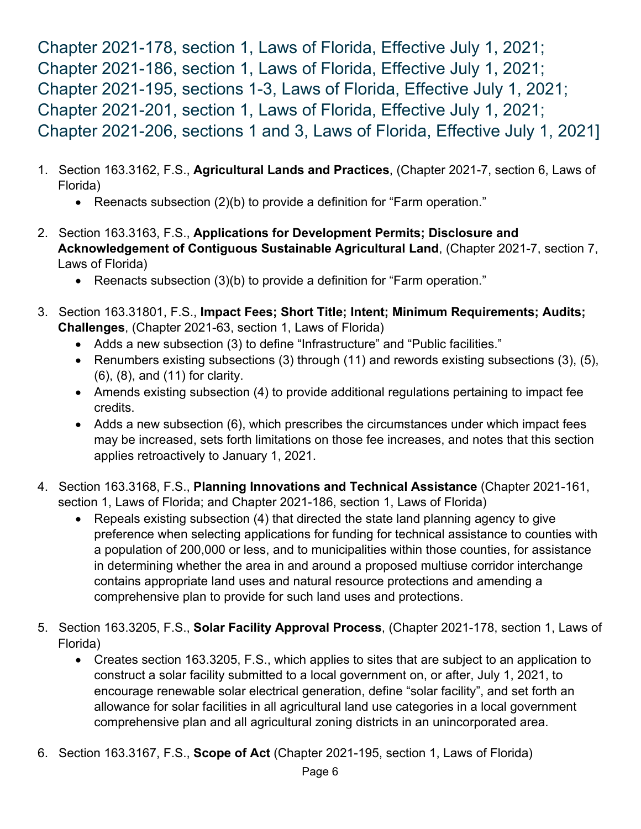Chapter 2021-178, section 1, Laws of Florida, Effective July 1, 2021; Chapter 2021-186, section 1, Laws of Florida, Effective July 1, 2021; Chapter 2021-195, sections 1-3, Laws of Florida, Effective July 1, 2021; Chapter 2021-201, section 1, Laws of Florida, Effective July 1, 2021; Chapter 2021-206, sections 1 and 3, Laws of Florida, Effective July 1, 2021]

- 1. Section 163.3162, F.S., **Agricultural Lands and Practices**, (Chapter 2021-7, section 6, Laws of Florida)
	- Reenacts subsection (2)(b) to provide a definition for "Farm operation."
- 2. Section 163.3163, F.S., **Applications for Development Permits; Disclosure and Acknowledgement of Contiguous Sustainable Agricultural Land**, (Chapter 2021-7, section 7, Laws of Florida)
	- Reenacts subsection (3)(b) to provide a definition for "Farm operation."
- 3. Section 163.31801, F.S., **Impact Fees; Short Title; Intent; Minimum Requirements; Audits; Challenges**, (Chapter 2021-63, section 1, Laws of Florida)
	- Adds a new subsection (3) to define "Infrastructure" and "Public facilities."
	- Renumbers existing subsections (3) through (11) and rewords existing subsections (3), (5), (6), (8), and (11) for clarity.
	- Amends existing subsection (4) to provide additional regulations pertaining to impact fee credits.
	- Adds a new subsection (6), which prescribes the circumstances under which impact fees may be increased, sets forth limitations on those fee increases, and notes that this section applies retroactively to January 1, 2021.
- 4. Section 163.3168, F.S., **Planning Innovations and Technical Assistance** (Chapter 2021-161, section 1, Laws of Florida; and Chapter 2021-186, section 1, Laws of Florida)
	- Repeals existing subsection (4) that directed the state land planning agency to give preference when selecting applications for funding for technical assistance to counties with a population of 200,000 or less, and to municipalities within those counties, for assistance in determining whether the area in and around a proposed multiuse corridor interchange contains appropriate land uses and natural resource protections and amending a comprehensive plan to provide for such land uses and protections.
- 5. Section 163.3205, F.S., **Solar Facility Approval Process**, (Chapter 2021-178, section 1, Laws of Florida)
	- Creates section 163.3205, F.S., which applies to sites that are subject to an application to construct a solar facility submitted to a local government on, or after, July 1, 2021, to encourage renewable solar electrical generation, define "solar facility", and set forth an allowance for solar facilities in all agricultural land use categories in a local government comprehensive plan and all agricultural zoning districts in an unincorporated area.
- 6. Section 163.3167, F.S., **Scope of Act** (Chapter 2021-195, section 1, Laws of Florida)